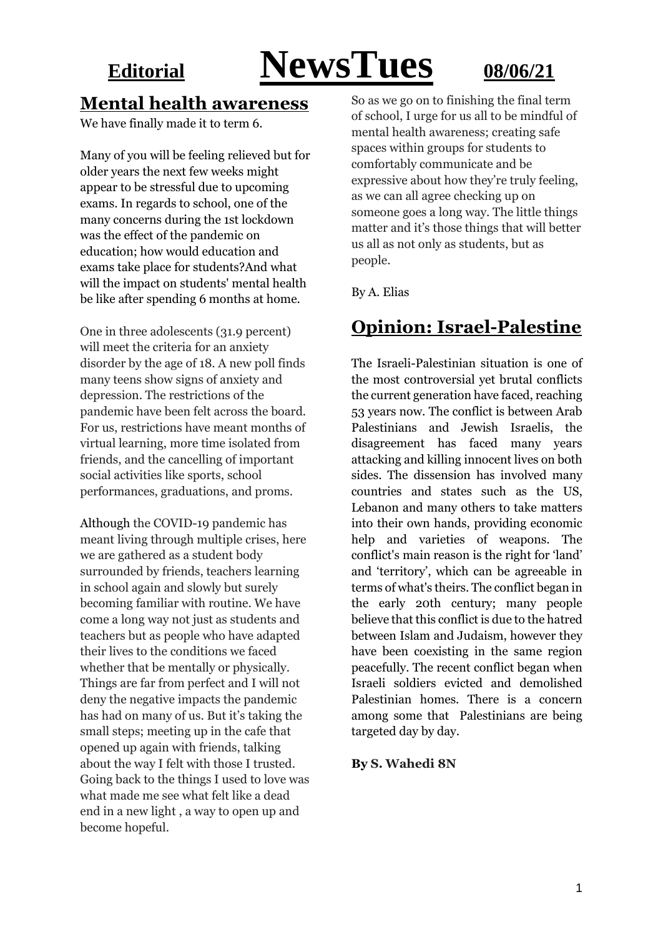# **Editorial NewsTues 08/06/21**

#### **Mental health awareness**

We have finally made it to term 6.

Many of you will be feeling relieved but for older years the next few weeks might appear to be stressful due to upcoming exams. In regards to school, one of the many concerns during the 1st lockdown was the effect of the pandemic on education; how would education and exams take place for students?And what will the impact on students' mental health be like after spending 6 months at home.

One in three adolescents (31.9 percent) will meet the criteria for an anxiety disorder by the age of 18. A new poll finds many teens show signs of anxiety and depression. The restrictions of the pandemic have been felt across the board. For us, restrictions have meant months of virtual learning, more time isolated from friends, and the cancelling of important social activities like sports, school performances, graduations, and proms.

Although the COVID-19 pandemic has meant living through multiple crises, here we are gathered as a student body surrounded by friends, teachers learning in school again and slowly but surely becoming familiar with routine. We have come a long way not just as students and teachers but as people who have adapted their lives to the conditions we faced whether that be mentally or physically. Things are far from perfect and I will not deny the negative impacts the pandemic has had on many of us. But it's taking the small steps; meeting up in the cafe that opened up again with friends, talking about the way I felt with those I trusted. Going back to the things I used to love was what made me see what felt like a dead end in a new light , a way to open up and become hopeful.

So as we go on to finishing the final term of school, I urge for us all to be mindful of mental health awareness; creating safe spaces within groups for students to comfortably communicate and be expressive about how they're truly feeling, as we can all agree checking up on someone goes a long way. The little things matter and it's those things that will better us all as not only as students, but as people.

By A. Elias

### **Opinion: Israel-Palestine**

The Israeli-Palestinian situation is one of the most controversial yet brutal conflicts the current generation have faced, reaching 53 years now. The conflict is between Arab Palestinians and Jewish Israelis, the disagreement has faced many years attacking and killing innocent lives on both sides. The dissension has involved many countries and states such as the US, Lebanon and many others to take matters into their own hands, providing economic help and varieties of weapons. The conflict's main reason is the right for 'land' and 'territory', which can be agreeable in terms of what's theirs. The conflict began in the early 20th century; many people believe that this conflict is due to the hatred between Islam and Judaism, however they have been coexisting in the same region peacefully. The recent conflict began when Israeli soldiers evicted and demolished Palestinian homes. There is a concern among some that Palestinians are being targeted day by day.

#### **By S. Wahedi 8N**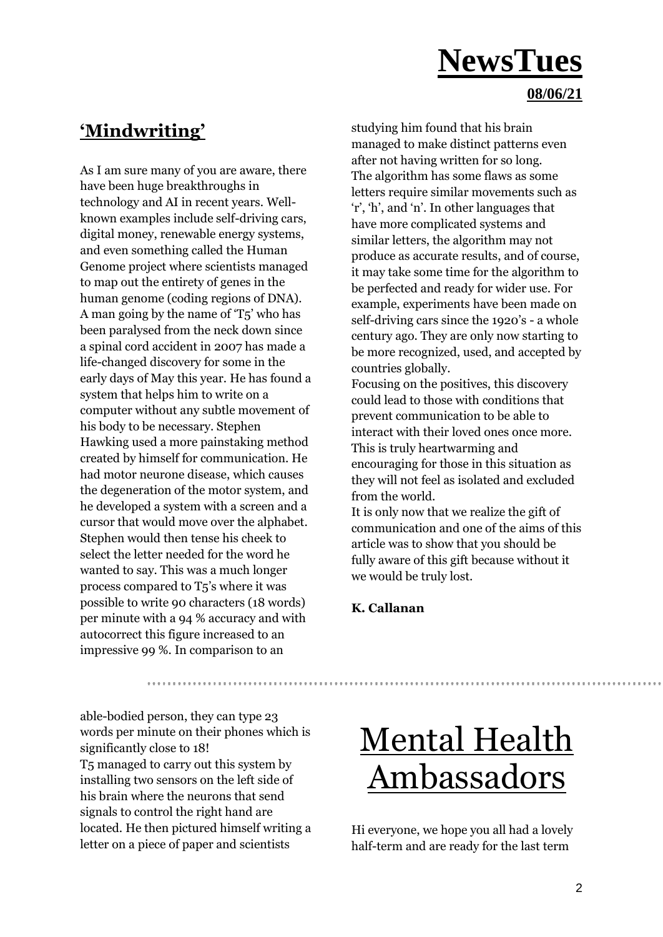#### **08/06/21**

### **'Mindwriting'**

As I am sure many of you are aware, there have been huge breakthroughs in technology and AI in recent years. Wellknown examples include self-driving cars, digital money, renewable energy systems, and even something called the Human Genome project where scientists managed to map out the entirety of genes in the human genome (coding regions of DNA). A man going by the name of 'T5' who has been paralysed from the neck down since a spinal cord accident in 2007 has made a life-changed discovery for some in the early days of May this year. He has found a system that helps him to write on a computer without any subtle movement of his body to be necessary. Stephen Hawking used a more painstaking method created by himself for communication. He had motor neurone disease, which causes the degeneration of the motor system, and he developed a system with a screen and a cursor that would move over the alphabet. Stephen would then tense his cheek to select the letter needed for the word he wanted to say. This was a much longer process compared to T5's where it was possible to write 90 characters (18 words) per minute with a 94 % accuracy and with autocorrect this figure increased to an impressive 99 %. In comparison to an

studying him found that his brain managed to make distinct patterns even after not having written for so long. The algorithm has some flaws as some letters require similar movements such as 'r', 'h', and 'n'. In other languages that have more complicated systems and similar letters, the algorithm may not produce as accurate results, and of course, it may take some time for the algorithm to be perfected and ready for wider use. For example, experiments have been made on self-driving cars since the 1920's - a whole century ago. They are only now starting to be more recognized, used, and accepted by countries globally.

Focusing on the positives, this discovery could lead to those with conditions that prevent communication to be able to interact with their loved ones once more. This is truly heartwarming and encouraging for those in this situation as they will not feel as isolated and excluded from the world.

It is only now that we realize the gift of communication and one of the aims of this article was to show that you should be fully aware of this gift because without it we would be truly lost.

#### **K. Callanan**

able-bodied person, they can type 23 words per minute on their phones which is significantly close to 18! T5 managed to carry out this system by installing two sensors on the left side of his brain where the neurons that send signals to control the right hand are located. He then pictured himself writing a letter on a piece of paper and scientists

### Mental Health Ambassadors

Hi everyone, we hope you all had a lovely half-term and are ready for the last term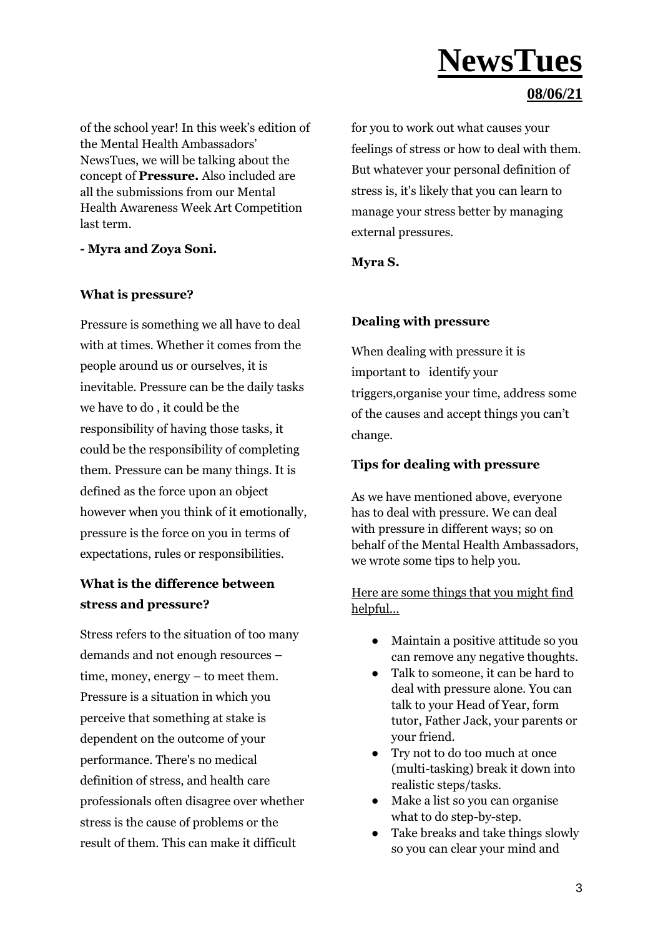#### **08/06/21**

of the school year! In this week's edition of the Mental Health Ambassadors' NewsTues, we will be talking about the concept of **Pressure.** Also included are all the submissions from our Mental Health Awareness Week Art Competition last term.

**- Myra and Zoya Soni.**

#### **What is pressure?**

Pressure is something we all have to deal with at times. Whether it comes from the people around us or ourselves, it is inevitable. Pressure can be the daily tasks we have to do , it could be the responsibility of having those tasks, it could be the responsibility of completing them. Pressure can be many things. It is defined as the force upon an object however when you think of it emotionally, pressure is the force on you in terms of expectations, rules or responsibilities.

#### **What is the difference between stress and pressure?**

Stress refers to the situation of too many demands and not enough resources – time, money, energy – to meet them. Pressure is a situation in which you perceive that something at stake is dependent on the outcome of your performance. There's no medical definition of stress, and health care professionals often disagree over whether stress is the cause of problems or the result of them. This can make it difficult

for you to work out what causes your feelings of stress or how to deal with them. But whatever your personal definition of stress is, it's likely that you can learn to manage your stress better by managing external pressures.

#### **Myra S.**

#### **Dealing with pressure**

When dealing with pressure it is important to identify your triggers,organise your time, address some of the causes and accept things you can't change.

#### **Tips for dealing with pressure**

As we have mentioned above, everyone has to deal with pressure. We can deal with pressure in different ways; so on behalf of the Mental Health Ambassadors, we wrote some tips to help you.

#### Here are some things that you might find helpful...

- Maintain a positive attitude so you can remove any negative thoughts.
- Talk to someone, it can be hard to deal with pressure alone. You can talk to your Head of Year, form tutor, Father Jack, your parents or your friend.
- Try not to do too much at once (multi-tasking) break it down into realistic steps/tasks.
- Make a list so you can organise what to do step-by-step.
- Take breaks and take things slowly so you can clear your mind and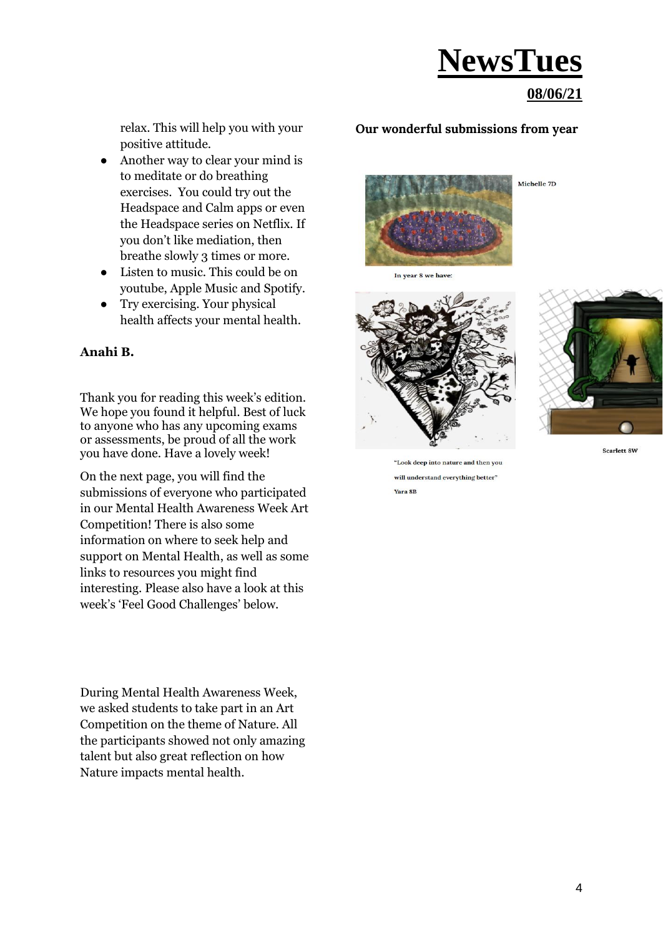#### **08/06/21**

relax. This will help you with your positive attitude.

- Another way to clear your mind is to meditate or do breathing exercises. You could try out the Headspace and Calm apps or even the Headspace series on Netflix. If you don't like mediation, then breathe slowly 3 times or more.
- Listen to music. This could be on youtube, Apple Music and Spotify.
- Try exercising. Your physical health affects your mental health.

#### **Anahi B.**

Thank you for reading this week's edition. We hope you found it helpful. Best of luck to anyone who has any upcoming exams or assessments, be proud of all the work you have done. Have a lovely week!

On the next page, you will find the submissions of everyone who participated in our Mental Health Awareness Week Art Competition! There is also some information on where to seek help and support on Mental Health, as well as some links to resources you might find interesting. Please also have a look at this week's 'Feel Good Challenges' below.

During Mental Health Awareness Week, we asked students to take part in an Art Competition on the theme of Nature. All the participants showed not only amazing talent but also great reflection on how Nature impacts mental health.

#### **Our wonderful submissions from year**









Scarlett 8W

"Look deep into nature and then you will understand everything better" Yara 8B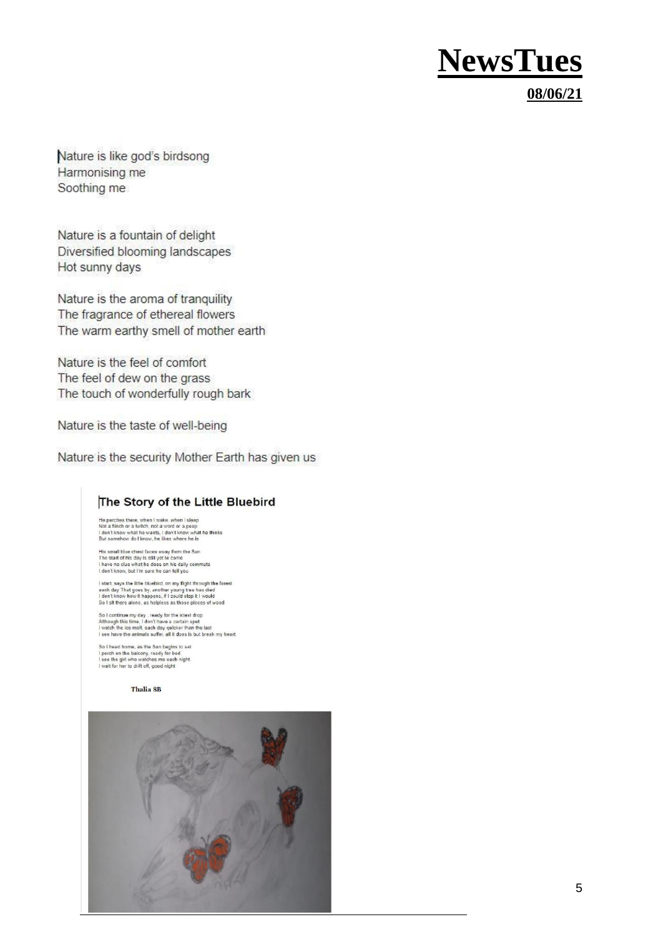#### **08/06/21**

Nature is like god's birdsong Harmonising me Soothing me

Nature is a fountain of delight Diversified blooming landscapes Hot sunny days

Nature is the aroma of tranquility The fragrance of ethereal flowers The warm earthy smell of mother earth

Nature is the feel of comfort The feel of dew on the grass The touch of wonderfully rough bark

Nature is the taste of well-being

Nature is the security Mother Earth has given us

#### The Story of the Little Bluebird

He perches there, when I wake, when I sleep<br>Not a flinch or a twitch, not a word or a peep<br>I don't know what he wants, i don't know what he thinks<br>But somehow do I know, he likes where he is

His small blue chest faces away from the Sun<br>The start of his day is still yet to come<br>I have no clue what he does on his daily commute<br>I don't know, but I'm sure he can tell you

I start, says the little bluebird, on my flight through the forest<br>each day That goes by, another young tree has died<br>I don't know how it happens, if I could stop it I would<br>So I sit there alone, as helpless as those plece

So I continue my day , ready for the iciest drop<br>Although this time, I don't have a certain spot<br>I watch the ice melt, each day quicker than the last<br>I see have the animals suffer, all it does is but break my heart

So I head home, as the Sun begins to set<br>I perch on the balcony, ready for bed<br>I see the girl who watches me each night<br>I wait for her to drift off, good night

Thalia 8B

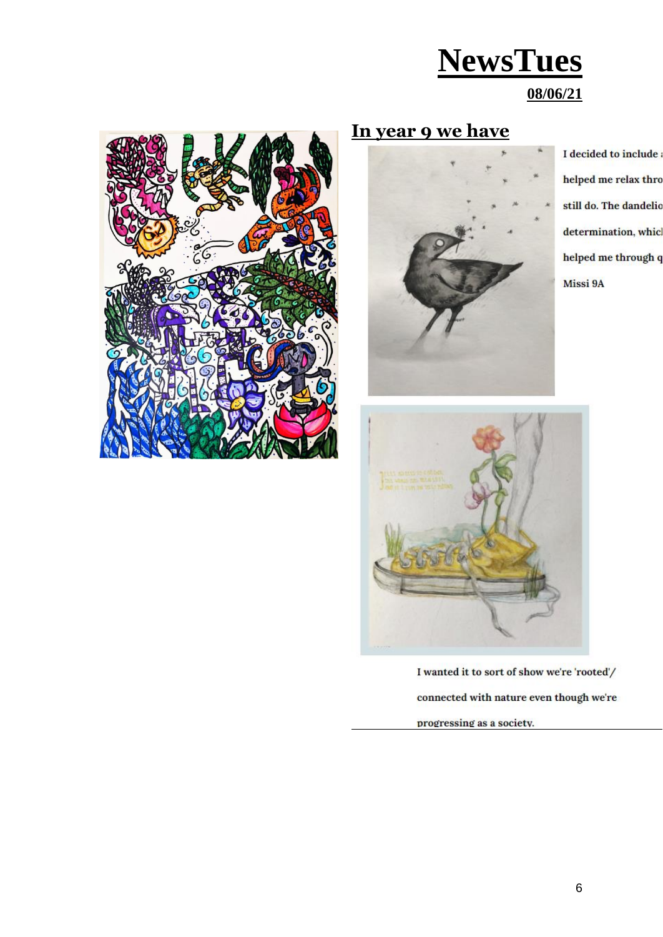#### **08/06/21**



### **In year 9 we have**



I decided to include helped me relax thro still do. The dandelic determination, whic helped me through q Missi 9A



I wanted it to sort of show we're 'rooted'/ connected with nature even though we're

progressing as a society.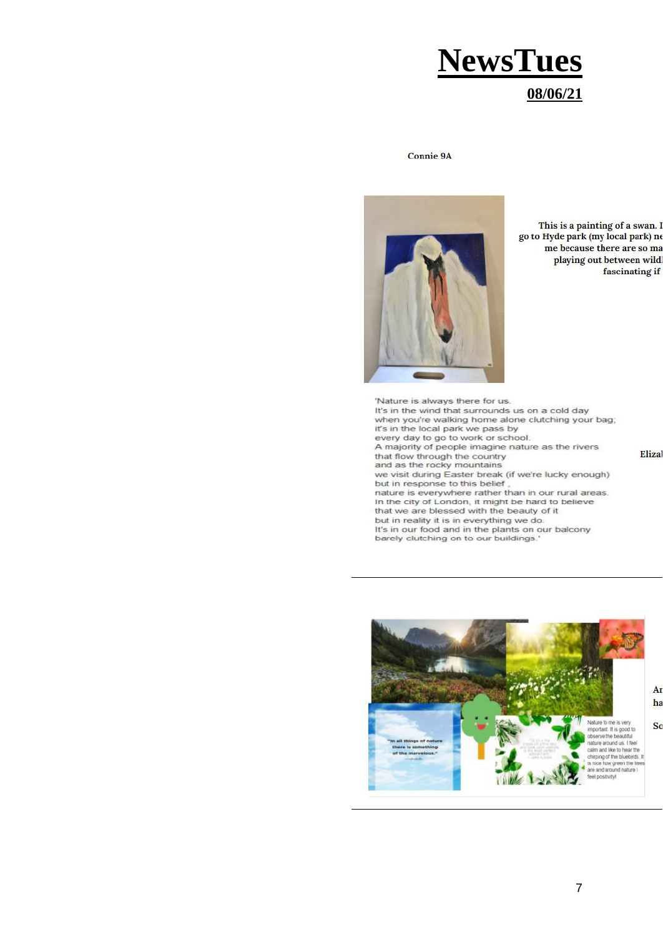### **NewsTues 08/06/21**

**Connie 9A** 



This is a painting of a swan. I go to Hyde park (my local park) ne me because there are so ma playing out between wild fascinating if

'Nature is always there for us. It's in the wind that surrounds us on a cold day when you're walking home alone clutching your bag; it's in the local park we pass by every day to go to work or school. A majority of people imagine nature as the rivers that flow through the country and as the rocky mountains we visit during Easter break (if we're lucky enough) but in response to this belief nature is everywhere rather than in our rural areas. In the city of London, it might be hard to believe that we are blessed with the beauty of it but in reality it is in everything we do.<br>It's in our food and in the plants on our balcony barely clutching on to our buildings.

Eliza

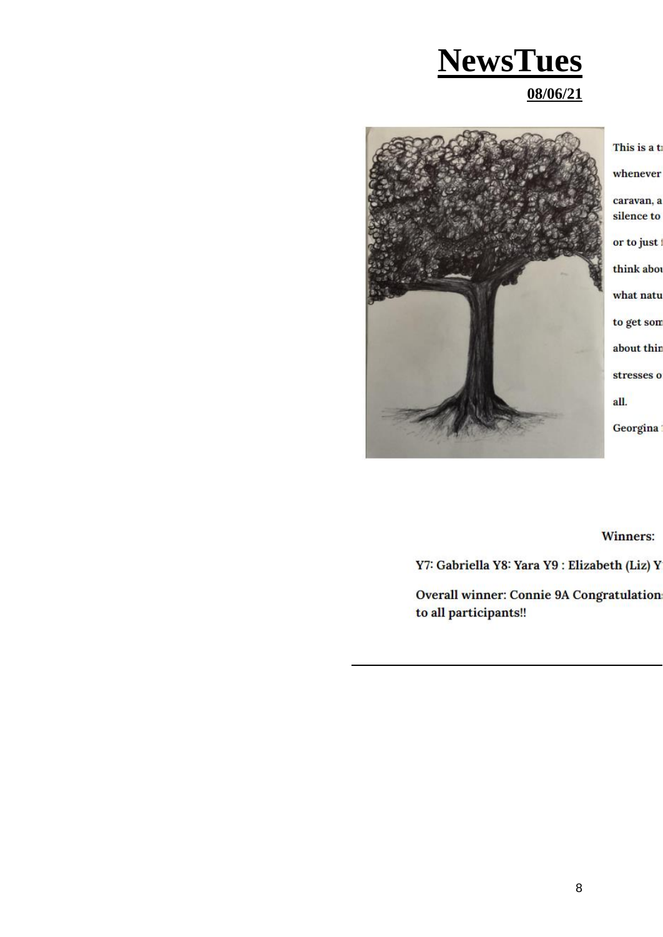### **NewsTues 08/06/21**



This is a t whenever caravan, a silence to or to just think abor what natu to get son about thin stresses o all.

Georgina

**Winners:** 

Y7: Gabriella Y8: Yara Y9: Elizabeth (Liz) Y

Overall winner: Connie 9A Congratulation to all participants!!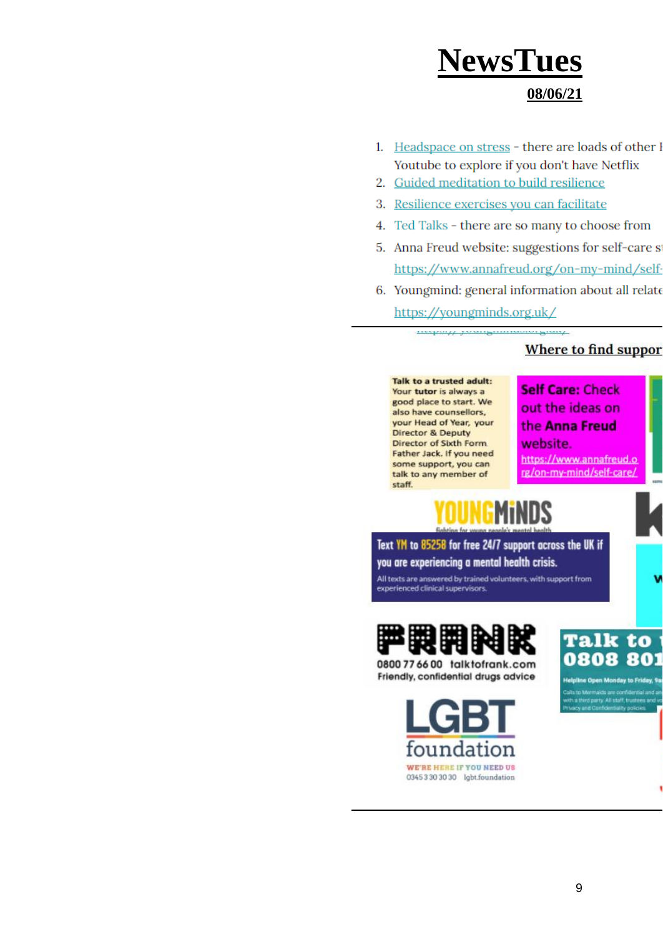#### **08/06/21**

- 1. Headspace on stress there are loads of other I Youtube to explore if you don't have Netflix
- 2. Guided meditation to build resilience
- 3. Resilience exercises you can facilitate
- 4. Ted Talks there are so many to choose from
- 5. Anna Freud website: suggestions for self-care s https://www.annafreud.org/on-my-mind/self-
- 6. Youngmind: general information about all relate https://youngminds.org.uk/

<u>maping pranguimaining any</u>

#### Where to find suppor

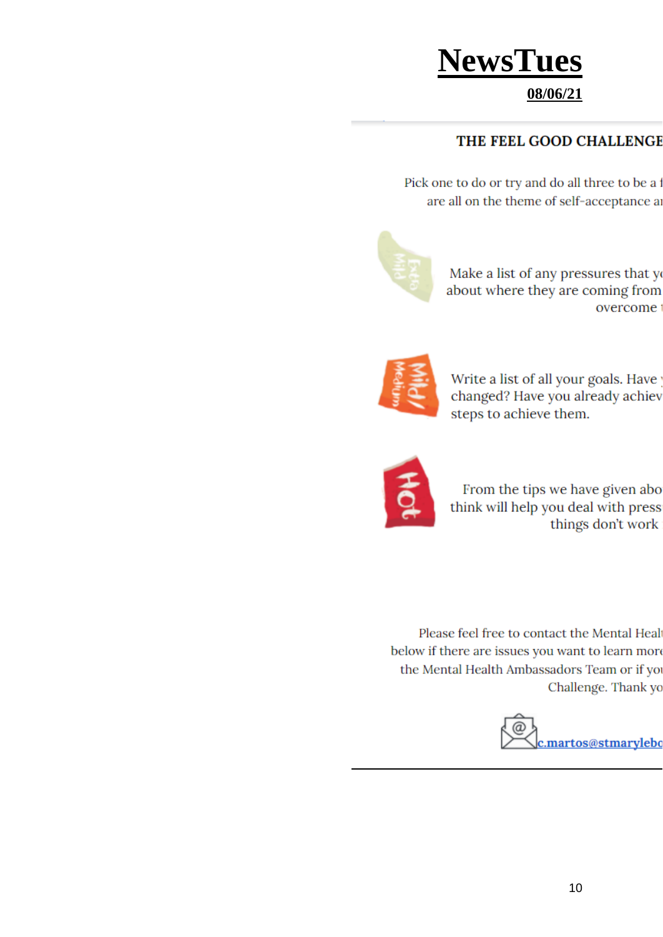#### **08/06/21**

#### THE FEEL GOOD CHALLENGE

Pick one to do or try and do all three to be a are all on the theme of self-acceptance as



Make a list of any pressures that yo about where they are coming from overcome



Write a list of all your goals. Have changed? Have you already achiev steps to achieve them.



From the tips we have given abo think will help you deal with press things don't work

Please feel free to contact the Mental Heal below if there are issues you want to learn more the Mental Health Ambassadors Team or if yo Challenge. Thank yo